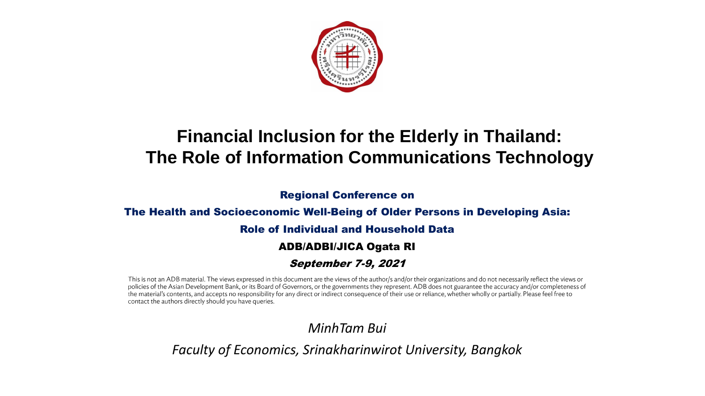

# **Financial Inclusion for the Elderly in Thailand: The Role of Information Communications Technology**

Regional Conference on

#### The Health and Socioeconomic Well-Being of Older Persons in Developing Asia:

#### Role of Individual and Household Data

#### ADB/ADBI/JICA Ogata RI

#### September 7-9, 2021

This is not an ADB material. The views expressed in this document are the views of the author/s and/or their organizations and do not necessarily reflect the views or policies of the Asian Development Bank, or its Board of Governors, or the governments they represent. ADB does not guarantee the accuracy and/or completeness of the material's contents, and accepts no responsibility for any direct or indirect consequence of their use or reliance, whether wholly or partially. Please feel free to contact the authors directly should you have queries.

### *MinhTam Bui*

*Faculty of Economics, Srinakharinwirot University, Bangkok*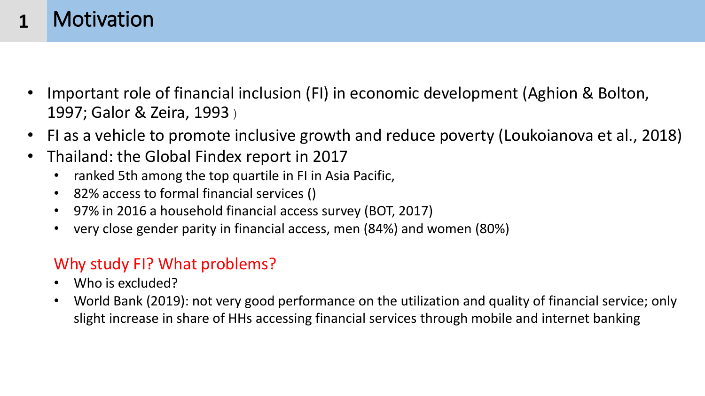#### **Motivation 1**

- Important role of financial inclusion (FI) in economic development (Aghion & Bolton, 1997; Galor & Zeira, 1993 )
- FI as a vehicle to promote inclusive growth and reduce poverty (Loukoianova et al., 2018)
- Thailand: the Global Findex report in 2017
	- ranked 5th among the top quartile in FI in Asia Pacific,
	- 82% access to formal financial services ()
	- 97% in 2016 a household financial access survey (BOT, 2017)
	- very close gender parity in financial access, men (84%) and women (80%)

# Why study FI? What problems?

- Who is excluded?
- World Bank (2019): not very good performance on the utilization and quality of financial service; only slight increase in share of HHs accessing financial services through mobile and internet banking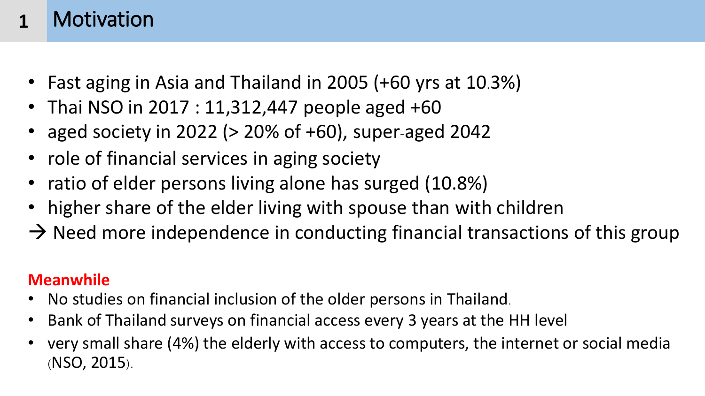#### **Motivation 1**

- Fast aging in Asia and Thailand in 2005 (+60 yrs at 10.3%)
- Thai NSO in 2017 : 11,312,447 people aged +60
- aged society in 2022 ( $>$  20% of +60), super-aged 2042
- role of financial services in aging society
- ratio of elder persons living alone has surged (10.8%)
- higher share of the elder living with spouse than with children
- $\rightarrow$  Need more independence in conducting financial transactions of this group

# **Meanwhile**

- No studies on financial inclusion of the older persons in Thailand.
- Bank of Thailand surveys on financial access every 3 years at the HH level
- very small share (4%) the elderly with access to computers, the internet or social media (NSO, 2015).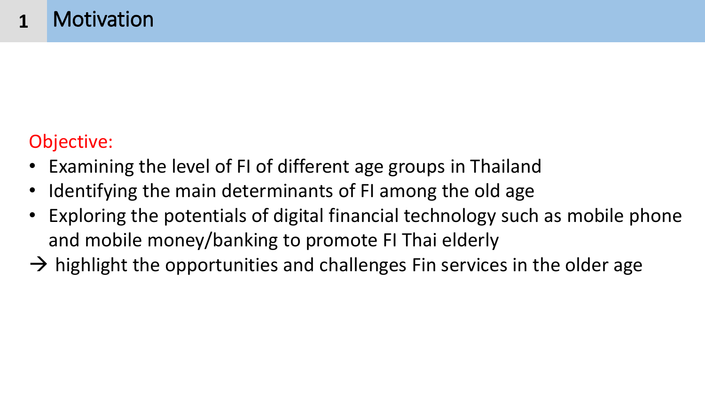# Objective:

- Examining the level of FI of different age groups in Thailand
- Identifying the main determinants of FI among the old age
- Exploring the potentials of digital financial technology such as mobile phone and mobile money/banking to promote FI Thai elderly
- $\rightarrow$  highlight the opportunities and challenges Fin services in the older age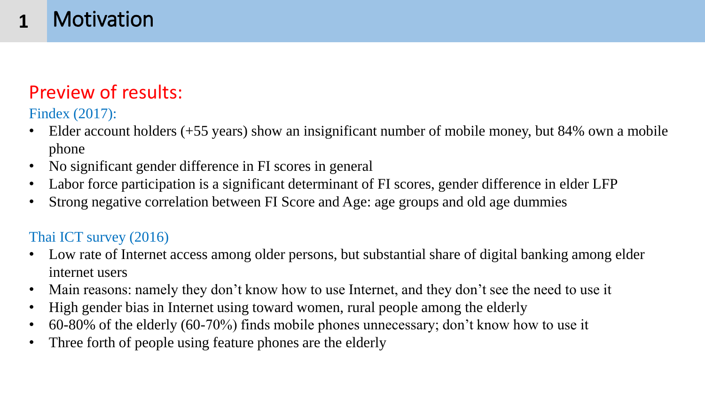#### Motivation **1**

# Preview of results:

Findex (2017):

- Elder account holders  $(+55 \text{ years})$  show an insignificant number of mobile money, but  $84\%$  own a mobile phone
- No significant gender difference in FI scores in general
- Labor force participation is a significant determinant of FI scores, gender difference in elder LFP
- Strong negative correlation between FI Score and Age: age groups and old age dummies

### Thai ICT survey (2016)

- Low rate of Internet access among older persons, but substantial share of digital banking among elder internet users
- Main reasons: namely they don't know how to use Internet, and they don't see the need to use it
- High gender bias in Internet using toward women, rural people among the elderly
- 60-80% of the elderly (60-70%) finds mobile phones unnecessary; don't know how to use it
- Three forth of people using feature phones are the elderly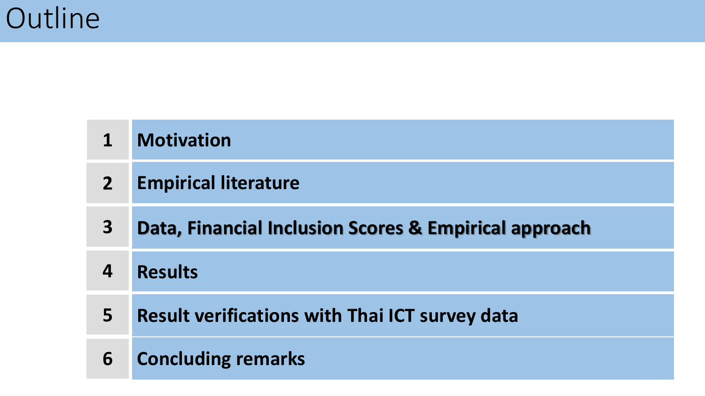| $\mathbf 1$    | <b>Motivation</b>                                     |
|----------------|-------------------------------------------------------|
| $\overline{2}$ | <b>Empirical literature</b>                           |
| 3 <sup>1</sup> | Data, Financial Inclusion Scores & Empirical approach |
| 4              | <b>Results</b>                                        |
| 5              | <b>Result verifications with Thai ICT survey data</b> |
| 6              | <b>Concluding remarks</b>                             |

6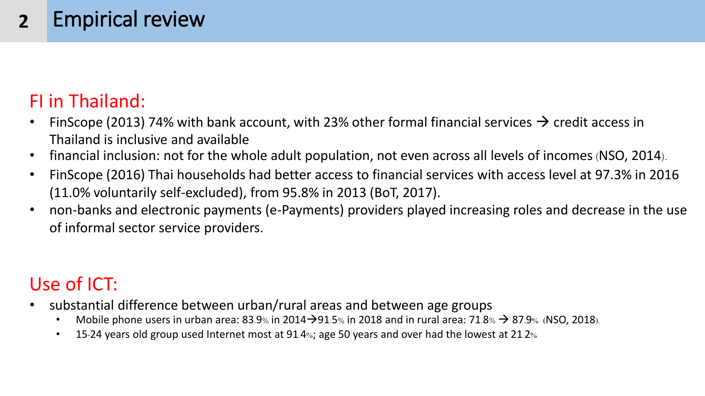#### Empirical review **2**

# FI in Thailand:

- FinScope (2013) 74% with bank account, with 23% other formal financial services  $\rightarrow$  credit access in Thailand is inclusive and available
- financial inclusion: not for the whole adult population, not even across all levels of incomes(NSO, 2014).
- FinScope (2016) Thai households had better access to financial services with access level at 97.3% in 2016 (11.0% voluntarily self-excluded), from 95.8% in 2013 (BoT, 2017).
- non-banks and electronic payments (e-Payments) providers played increasing roles and decrease in the use of informal sector service providers.

# Use of ICT:

- substantial difference between urban/rural areas and between age groups
	- Mobile phone users in urban area:  $83.9\%$  in 2014 $\rightarrow$ 91.5% in 2018 and in rural area:  $71.8\% \rightarrow 87.9\%$  (NSO, 2018).
	- 15-24 years old group used Internet most at 91.4%; age 50 years and over had the lowest at 21.2%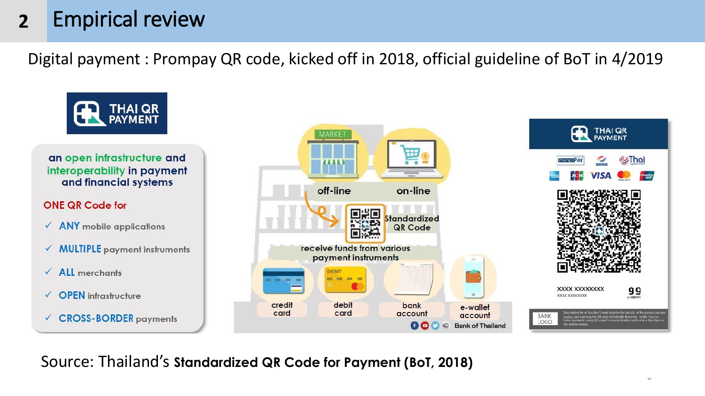#### Empirical review **2**

Digital payment : Prompay QR code, kicked off in 2018, official guideline of BoT in 4/2019



Source: Thailand's **Standardized QR Code for Payment (BoT, 2018)**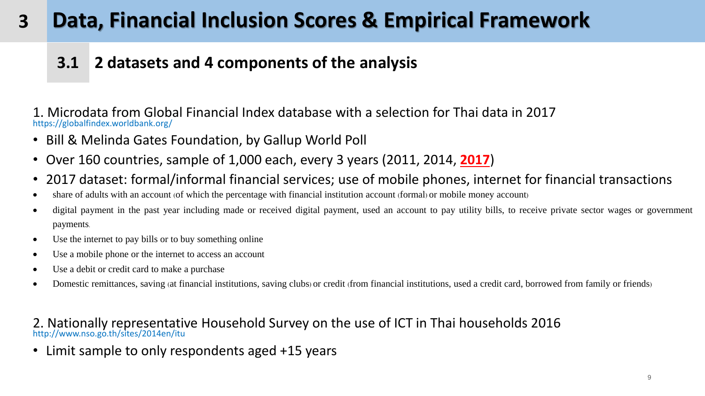## **3.1 2 datasets and 4 components of the analysis**

1. Microdata from Global Financial Index database with a selection for Thai data in 2017 https://globalfindex.worldbank.org/

- Bill & Melinda Gates Foundation, by Gallup World Poll
- Over 160 countries, sample of 1,000 each, every 3 years (2011, 2014, **2017**)
- 2017 dataset: formal/informal financial services; use of mobile phones, internet for financial transactions
- share of adults with an account (of which the percentage with financial institution account (formal) or mobile money account)
- digital payment in the past year including made or received digital payment, used an account to pay utility bills, to receive private sector wages or government payments.
- Use the internet to pay bills or to buy something online
- Use a mobile phone or the internet to access an account
- Use a debit or credit card to make a purchase
- Domestic remittances, saving (at financial institutions, saving clubs) or credit (from financial institutions, used a credit card, borrowed from family or friends)

#### 2. Nationally representative Household Survey on the use of ICT in Thai households 2016 http://www.nso.go.th/sites/2014en/itu

• Limit sample to only respondents aged +15 years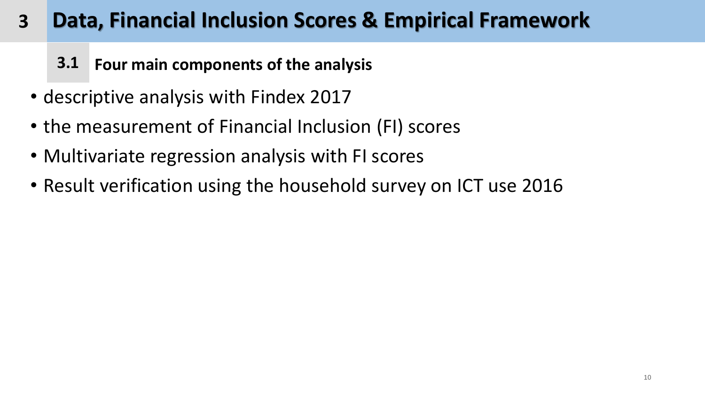- **3.1 Four main components of the analysis**
- descriptive analysis with Findex 2017
- the measurement of Financial Inclusion (FI) scores
- Multivariate regression analysis with FI scores
- Result verification using the household survey on ICT use 2016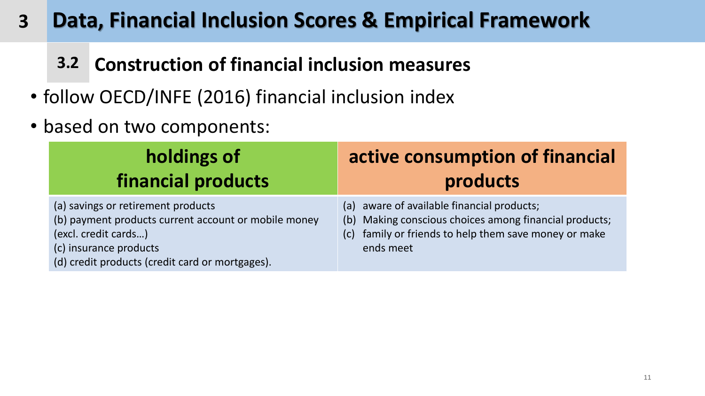# **3.2 Construction of financial inclusion measures**

- follow OECD/INFE (2016) financial inclusion index
- based on two components:

| holdings of                                                                                                                                                                                     | active consumption of financial                                                                                                                                            |  |  |
|-------------------------------------------------------------------------------------------------------------------------------------------------------------------------------------------------|----------------------------------------------------------------------------------------------------------------------------------------------------------------------------|--|--|
| financial products                                                                                                                                                                              | products                                                                                                                                                                   |  |  |
| (a) savings or retirement products<br>(b) payment products current account or mobile money<br>(excl. credit cards)<br>(c) insurance products<br>(d) credit products (credit card or mortgages). | (a) aware of available financial products;<br>(b) Making conscious choices among financial products;<br>(c) family or friends to help them save money or make<br>ends meet |  |  |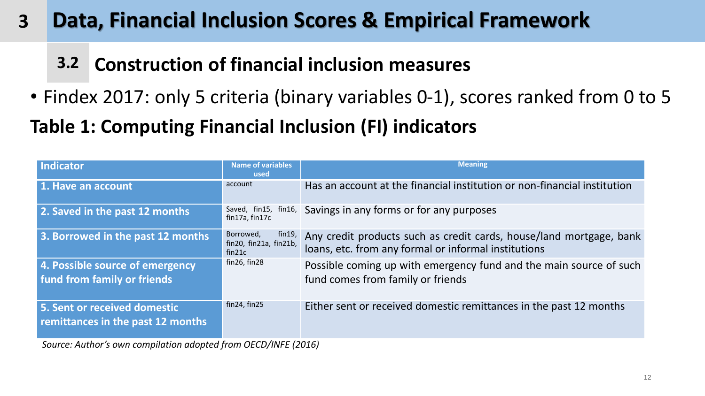**3.2 Construction of financial inclusion measures**

• Findex 2017: only 5 criteria (binary variables 0-1), scores ranked from 0 to 5

**Table 1: Computing Financial Inclusion (FI) indicators** 

| Indicator                                                         | <b>Name of variables</b><br>used                        | <b>Meaning</b>                                                                                                              |
|-------------------------------------------------------------------|---------------------------------------------------------|-----------------------------------------------------------------------------------------------------------------------------|
| 1. Have an account                                                | account                                                 | Has an account at the financial institution or non-financial institution                                                    |
| 2. Saved in the past 12 months                                    | Saved, fin15, fin16,<br>fin17a, fin17c                  | Savings in any forms or for any purposes                                                                                    |
| 3. Borrowed in the past 12 months                                 | Borrowed,<br>fin19,<br>fin20, fin21a, fin21b,<br>fin21c | Any credit products such as credit cards, house/land mortgage, bank<br>loans, etc. from any formal or informal institutions |
| 4. Possible source of emergency<br>fund from family or friends    | fin26, fin28                                            | Possible coming up with emergency fund and the main source of such<br>fund comes from family or friends                     |
| 5. Sent or received domestic<br>remittances in the past 12 months | fin24, fin25                                            | Either sent or received domestic remittances in the past 12 months                                                          |

*Source: Author's own compilation adopted from OECD/INFE (2016)*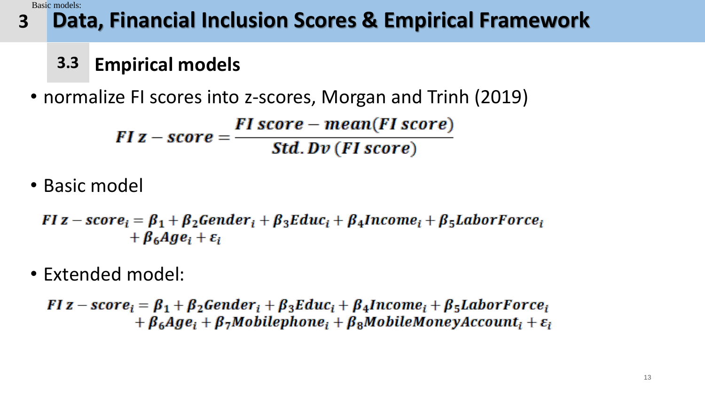Basic models:

#### **Data, Financial Inclusion Scores & Empirical Framework 3**

# **3.3 Empirical models**

• normalize FI scores into z-scores, Morgan and Trinh (2019)

 $FI z-score = \frac{FI score - mean (FI score)}{Std. Dv (FI score)}$ 

• Basic model

FI z – scor $e_i = \beta_1 + \beta_2$ Gender<sub>i</sub> +  $\beta_3$ Educ<sub>i</sub> +  $\beta_4$ Income<sub>i</sub> +  $\beta_5$ LaborForce<sub>i</sub>  $+\beta_6 Age_i + \varepsilon_i$ 

• Extended model:

FI z – scor $e_i = \beta_1 + \beta_2$ Gender<sub>i</sub> +  $\beta_3$ Educ<sub>i</sub> +  $\beta_4$ Income<sub>i</sub> +  $\beta_5$ LaborForce<sub>i</sub>  $+ \beta_6 Age_i + \beta_7 Mobilephone_i + \beta_8 Mobile Money Account_i + \varepsilon_i$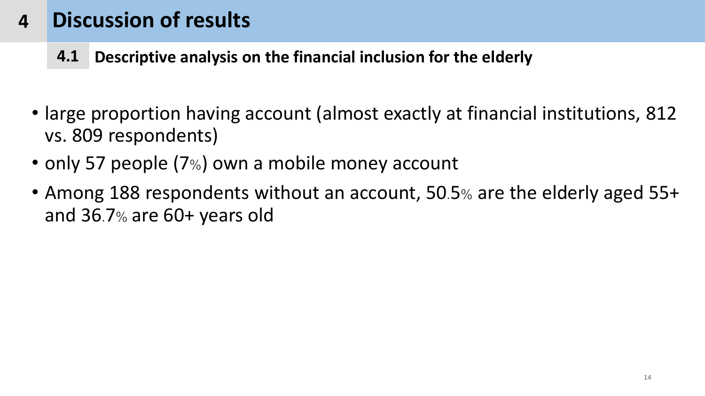- **4.1 Descriptive analysis on the financial inclusion for the elderly**
- large proportion having account (almost exactly at financial institutions, 812 vs. 809 respondents)
- only 57 people (7%) own a mobile money account
- Among 188 respondents without an account, 50.5% are the elderly aged 55+ and 36.7% are 60+ years old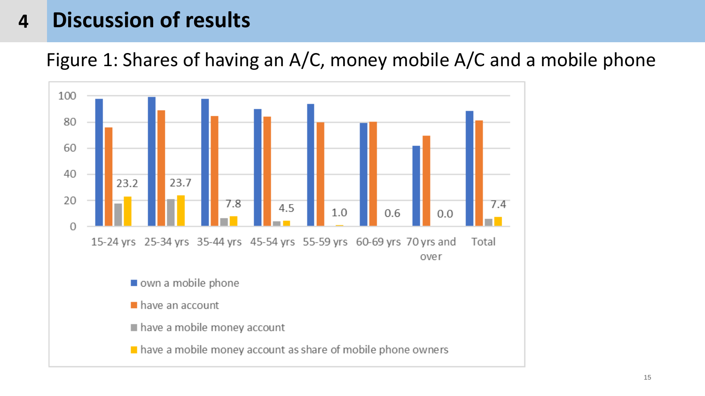Figure 1: Shares of having an A/C, money mobile A/C and a mobile phone

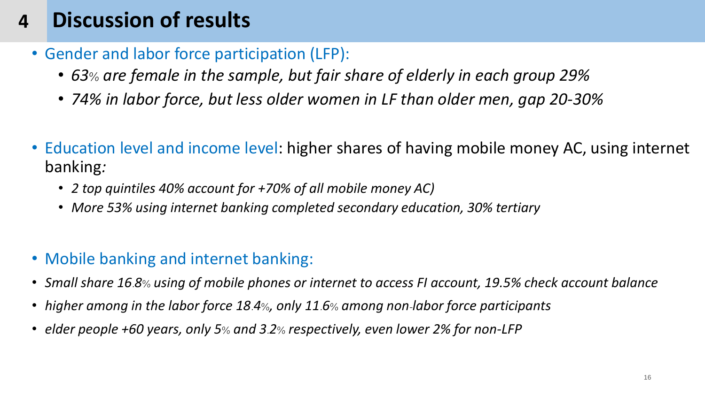- Gender and labor force participation (LFP):
	- *63% are female in the sample, but fair share of elderly in each group 29%*
	- *74% in labor force, but less older women in LF than older men, gap 20-30%*
- Education level and income level: higher shares of having mobile money AC, using internet banking*:* 
	- *2 top quintiles 40% account for +70% of all mobile money AC)*
	- *More 53% using internet banking completed secondary education, 30% tertiary*
- Mobile banking and internet banking:
- *Small share 16.8% using of mobile phones or internet to access FI account, 19.5% check account balance*
- *higher among in the labor force 18.4%, only 11.6% among non-labor force participants*
- *elder people +60 years, only 5% and 3.2% respectively, even lower 2% for non-LFP*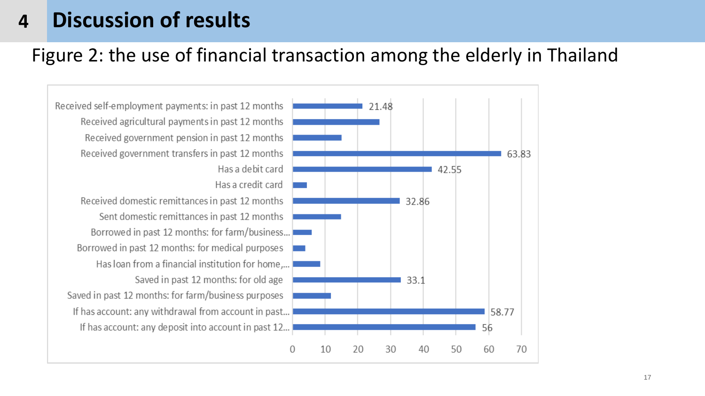# Figure 2: the use of financial transaction among the elderly in Thailand

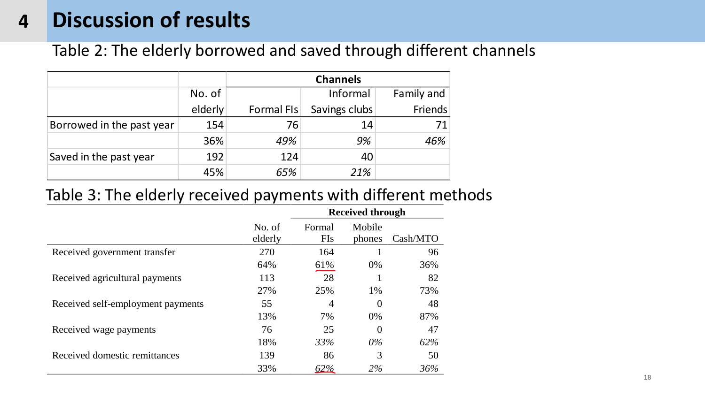### Table 2: The elderly borrowed and saved through different channels

|                           |         | <b>Channels</b> |               |            |  |  |
|---------------------------|---------|-----------------|---------------|------------|--|--|
|                           | No. of  |                 | Informal      | Family and |  |  |
|                           | elderly | Formal FIs      | Savings clubs | Friends    |  |  |
| Borrowed in the past year | 154     | 76              | 14            |            |  |  |
|                           | 36%     | 49%             | 9%            | 46%        |  |  |
| Saved in the past year    | 192     | 124             | 40            |            |  |  |
|                           | 45%     | 65%             | 21%           |            |  |  |

### Table 3: The elderly received payments with different methods

|                                   |                   | <b>Received through</b> |                  |          |  |  |  |
|-----------------------------------|-------------------|-------------------------|------------------|----------|--|--|--|
|                                   | No. of<br>elderly | Formal<br><b>FIs</b>    | Mobile<br>phones | Cash/MTO |  |  |  |
| Received government transfer      | 270               | 164                     |                  | 96       |  |  |  |
|                                   | 64%               | <u>61%</u>              | $0\%$            | 36%      |  |  |  |
| Received agricultural payments    | 113               | 28                      |                  | 82       |  |  |  |
|                                   | 27%               | 25%                     | 1%               | 73%      |  |  |  |
| Received self-employment payments | 55                | 4                       | $\overline{0}$   | 48       |  |  |  |
|                                   | 13%               | 7%                      | $0\%$            | 87%      |  |  |  |
| Received wage payments            | 76                | 25                      | $\overline{0}$   | 47       |  |  |  |
|                                   | 18%               | 33%                     | $0\%$            | 62%      |  |  |  |
| Received domestic remittances     | 139               | 86                      | 3                | 50       |  |  |  |
|                                   | 33%               | 62%                     | 2%               | 36%      |  |  |  |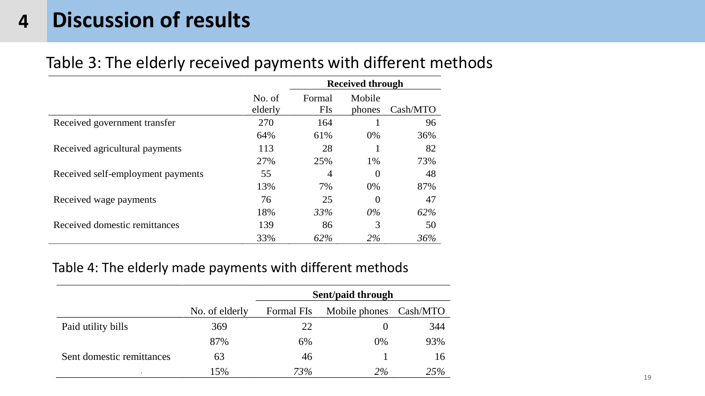### Table 3: The elderly received payments with different methods

|                                   |                   |                      | <b>Received through</b> |          |
|-----------------------------------|-------------------|----------------------|-------------------------|----------|
|                                   | No. of<br>elderly | Formal<br><b>FIs</b> | Mobile<br>phones        | Cash/MTO |
| Received government transfer      | 270               | 164                  |                         | 96       |
|                                   | 64%               | 61%                  | $0\%$                   | 36%      |
| Received agricultural payments    | 113               | 28                   |                         | 82       |
|                                   | 27%               | 25%                  | 1%                      | 73%      |
| Received self-employment payments | 55                | $\overline{4}$       | $\overline{0}$          | 48       |
|                                   | 13%               | 7%                   | $0\%$                   | 87%      |
| Received wage payments            | 76                | 25                   | $\theta$                | 47       |
|                                   | 18%               | 33%                  | $0\%$                   | 62%      |
| Received domestic remittances     | 139               | 86                   | 3                       | 50       |
|                                   | 33%               | 62%                  | 2%                      | 36%      |

### Table 4: The elderly made payments with different methods

|                           |                | Sent/paid through |                        |     |  |  |
|---------------------------|----------------|-------------------|------------------------|-----|--|--|
|                           | No. of elderly | Formal FIs        | Mobile phones Cash/MTO |     |  |  |
| Paid utility bills        | 369            | 22                |                        | 344 |  |  |
|                           | 87%            | 6%                | 0%                     | 93% |  |  |
| Sent domestic remittances | 63             | 46                |                        | 16  |  |  |
|                           | 15%            | 73%               | 2%                     | 25% |  |  |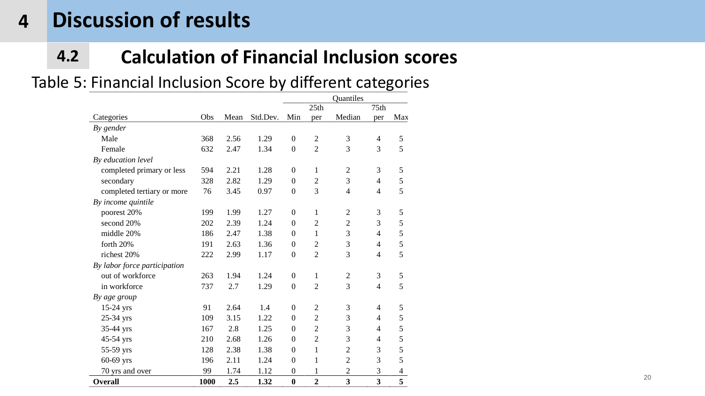# **4.2 Calculation of Financial Inclusion scores**

### Table 5: Financial Inclusion Score by different categories

|                              |      |      |          |                  |                | Quantiles      |                          |                          |
|------------------------------|------|------|----------|------------------|----------------|----------------|--------------------------|--------------------------|
|                              |      |      |          |                  | 25th           |                | 75th                     |                          |
| Categories                   | Obs  | Mean | Std.Dev. | Min              | per            | Median         | per                      | Max                      |
| By gender                    |      |      |          |                  |                |                |                          |                          |
| Male                         | 368  | 2.56 | 1.29     | $\overline{0}$   | $\overline{2}$ | 3              | $\overline{4}$           | 5                        |
| Female                       | 632  | 2.47 | 1.34     | $\mathbf{0}$     | $\overline{2}$ | 3              | 3                        | 5                        |
| By education level           |      |      |          |                  |                |                |                          |                          |
| completed primary or less    | 594  | 2.21 | 1.28     | $\theta$         | 1              | $\overline{2}$ | 3                        | 5                        |
| secondary                    | 328  | 2.82 | 1.29     | $\overline{0}$   | $\overline{2}$ | 3              | $\overline{4}$           | 5                        |
| completed tertiary or more   | 76   | 3.45 | 0.97     | $\overline{0}$   | 3              | $\overline{4}$ | $\overline{4}$           | 5                        |
| By income quintile           |      |      |          |                  |                |                |                          |                          |
| poorest 20%                  | 199  | 1.99 | 1.27     | $\theta$         | 1              | $\overline{2}$ | 3                        | 5                        |
| second 20%                   | 202  | 2.39 | 1.24     | $\theta$         | $\overline{2}$ | $\overline{2}$ | 3                        | 5                        |
| middle 20%                   | 186  | 2.47 | 1.38     | $\Omega$         | 1              | 3              | 4                        | 5                        |
| forth 20%                    | 191  | 2.63 | 1.36     | $\overline{0}$   | $\overline{2}$ | 3              | 4                        | 5                        |
| richest 20%                  | 222  | 2.99 | 1.17     | $\theta$         | $\overline{2}$ | 3              | 4                        | 5                        |
| By labor force participation |      |      |          |                  |                |                |                          |                          |
| out of workforce             | 263  | 1.94 | 1.24     | $\mathbf{0}$     | 1              | $\overline{2}$ | 3                        | 5                        |
| in workforce                 | 737  | 2.7  | 1.29     | $\theta$         | $\overline{2}$ | 3              | $\overline{4}$           | 5                        |
| By age group                 |      |      |          |                  |                |                |                          |                          |
| $15-24$ yrs                  | 91   | 2.64 | 1.4      | $\theta$         | $\overline{2}$ | 3              | $\overline{\mathcal{A}}$ | 5                        |
| 25-34 yrs                    | 109  | 3.15 | 1.22     | $\theta$         | $\overline{2}$ | 3              | 4                        | 5                        |
| 35-44 yrs                    | 167  | 2.8  | 1.25     | $\overline{0}$   | $\overline{2}$ | 3              | $\overline{4}$           | 5                        |
| 45-54 yrs                    | 210  | 2.68 | 1.26     | $\theta$         | $\overline{2}$ | 3              | $\overline{4}$           | 5                        |
| 55-59 yrs                    | 128  | 2.38 | 1.38     | $\mathbf{0}$     | $\mathbf{1}$   | $\overline{2}$ | 3                        | 5                        |
| 60-69 yrs                    | 196  | 2.11 | 1.24     | $\overline{0}$   | $\mathbf{1}$   | $\overline{2}$ | 3                        | 5                        |
| 70 yrs and over              | 99   | 1.74 | 1.12     | $\boldsymbol{0}$ | $\mathbf{1}$   | $\overline{c}$ | 3                        | $\overline{\mathcal{A}}$ |
| Overall                      | 1000 | 2.5  | 1.32     | $\bf{0}$         | $\overline{2}$ | 3              | $\overline{\mathbf{3}}$  | 5                        |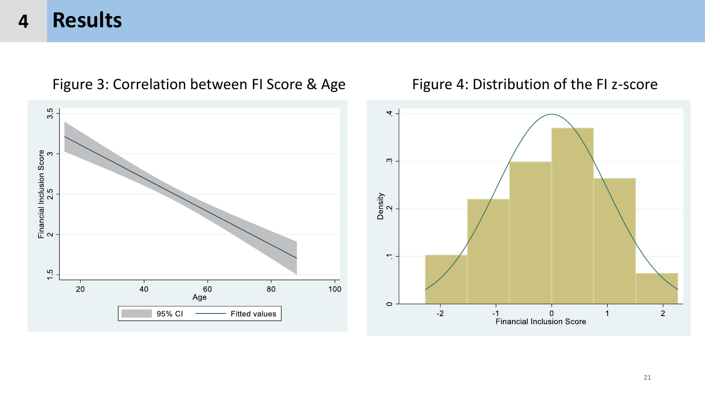

### Figure 3: Correlation between FI Score & Age Figure 4: Distribution of the FI z-score

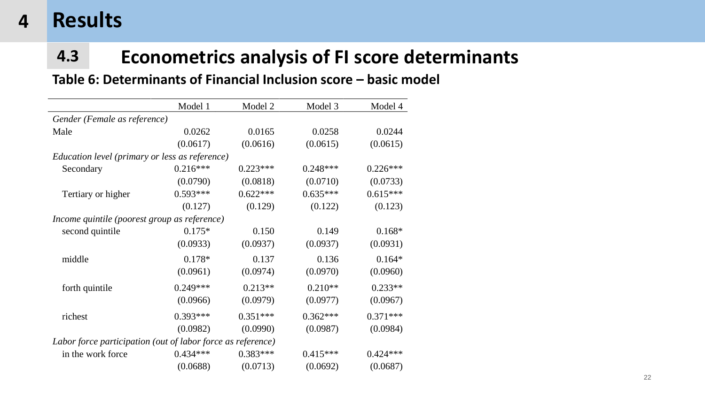# **4.3 Econometrics analysis of FI score determinants**

### **Table 6: Determinants of Financial Inclusion score – basic model**

|                                                             | Model 1    | Model 2    | Model 3    | Model 4    |
|-------------------------------------------------------------|------------|------------|------------|------------|
| Gender (Female as reference)                                |            |            |            |            |
| Male                                                        | 0.0262     | 0.0165     | 0.0258     | 0.0244     |
|                                                             | (0.0617)   | (0.0616)   | (0.0615)   | (0.0615)   |
| Education level (primary or less as reference)              |            |            |            |            |
| Secondary                                                   | $0.216***$ | $0.223***$ | $0.248***$ | $0.226***$ |
|                                                             | (0.0790)   | (0.0818)   | (0.0710)   | (0.0733)   |
| Tertiary or higher                                          | $0.593***$ | $0.622***$ | $0.635***$ | $0.615***$ |
|                                                             | (0.127)    | (0.129)    | (0.122)    | (0.123)    |
| Income quintile (poorest group as reference)                |            |            |            |            |
| second quintile                                             | $0.175*$   | 0.150      | 0.149      | $0.168*$   |
|                                                             | (0.0933)   | (0.0937)   | (0.0937)   | (0.0931)   |
| middle                                                      | $0.178*$   | 0.137      | 0.136      | $0.164*$   |
|                                                             | (0.0961)   | (0.0974)   | (0.0970)   | (0.0960)   |
| forth quintile                                              | $0.249***$ | $0.213**$  | $0.210**$  | $0.233**$  |
|                                                             | (0.0966)   | (0.0979)   | (0.0977)   | (0.0967)   |
| richest                                                     | $0.393***$ | $0.351***$ | $0.362***$ | $0.371***$ |
|                                                             | (0.0982)   | (0.0990)   | (0.0987)   | (0.0984)   |
| Labor force participation (out of labor force as reference) |            |            |            |            |
| in the work force                                           | $0.434***$ | $0.383***$ | $0.415***$ | $0.424***$ |
|                                                             | (0.0688)   | (0.0713)   | (0.0692)   | (0.0687)   |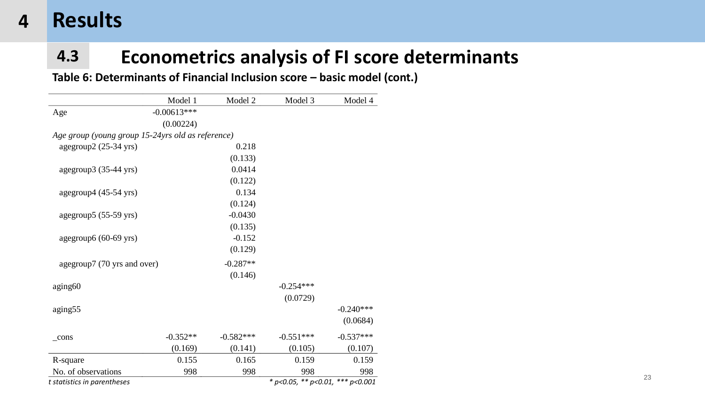# **4.3 Econometrics analysis of FI score determinants**

**Table 6: Determinants of Financial Inclusion score – basic model (cont.)**

|                                                   | Model 1       | Model 2     | Model 3                          | Model 4     |
|---------------------------------------------------|---------------|-------------|----------------------------------|-------------|
| Age                                               | $-0.00613***$ |             |                                  |             |
|                                                   | (0.00224)     |             |                                  |             |
| Age group (young group 15-24yrs old as reference) |               |             |                                  |             |
| agegroup2 (25-34 yrs)                             |               | 0.218       |                                  |             |
|                                                   |               | (0.133)     |                                  |             |
| agegroup3 (35-44 yrs)                             |               | 0.0414      |                                  |             |
|                                                   |               | (0.122)     |                                  |             |
| agegroup4 (45-54 yrs)                             |               | 0.134       |                                  |             |
|                                                   |               | (0.124)     |                                  |             |
| agegroup5 (55-59 yrs)                             |               | $-0.0430$   |                                  |             |
|                                                   |               | (0.135)     |                                  |             |
| agegroup6 (60-69 yrs)                             |               | $-0.152$    |                                  |             |
|                                                   |               | (0.129)     |                                  |             |
| agegroup7 (70 yrs and over)                       |               | $-0.287**$  |                                  |             |
|                                                   |               | (0.146)     |                                  |             |
| aging <sub>60</sub>                               |               |             | $-0.254***$                      |             |
|                                                   |               |             | (0.0729)                         |             |
| aging 55                                          |               |             |                                  | $-0.240***$ |
|                                                   |               |             |                                  | (0.0684)    |
| $_{\rm cons}$                                     | $-0.352**$    | $-0.582***$ | $-0.551***$                      | $-0.537***$ |
|                                                   | (0.169)       | (0.141)     | (0.105)                          | (0.107)     |
| R-square                                          | 0.155         | 0.165       | 0.159                            | 0.159       |
| No. of observations                               | 998           | 998         | 998                              | 998         |
| t statistics in parentheses                       |               |             | * p<0.05, ** p<0.01, *** p<0.001 |             |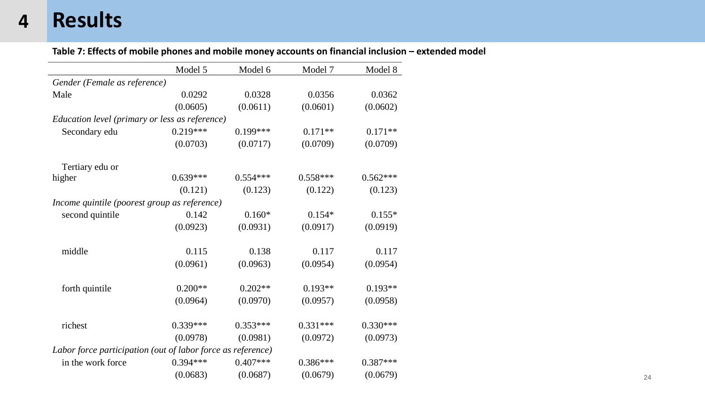#### Table 7: Effects of mobile phones and mobile money accounts on financial inclusion - extended model

|                                                             | Model 5    | Model 6    | Model 7    | Model 8    |
|-------------------------------------------------------------|------------|------------|------------|------------|
| Gender (Female as reference)                                |            |            |            |            |
| Male                                                        | 0.0292     | 0.0328     | 0.0356     | 0.0362     |
|                                                             | (0.0605)   | (0.0611)   | (0.0601)   | (0.0602)   |
| Education level (primary or less as reference)              |            |            |            |            |
| Secondary edu                                               | $0.219***$ | $0.199***$ | $0.171**$  | $0.171**$  |
|                                                             | (0.0703)   | (0.0717)   | (0.0709)   | (0.0709)   |
| Tertiary edu or                                             |            |            |            |            |
| higher                                                      | $0.639***$ | $0.554***$ | $0.558***$ | $0.562***$ |
|                                                             | (0.121)    | (0.123)    | (0.122)    | (0.123)    |
| Income quintile (poorest group as reference)                |            |            |            |            |
| second quintile                                             | 0.142      | $0.160*$   | $0.154*$   | $0.155*$   |
|                                                             | (0.0923)   | (0.0931)   | (0.0917)   | (0.0919)   |
| middle                                                      | 0.115      | 0.138      | 0.117      | 0.117      |
|                                                             | (0.0961)   | (0.0963)   | (0.0954)   | (0.0954)   |
| forth quintile                                              | $0.200**$  | $0.202**$  | $0.193**$  | $0.193**$  |
|                                                             | (0.0964)   | (0.0970)   | (0.0957)   | (0.0958)   |
| richest                                                     | $0.339***$ | $0.353***$ | $0.331***$ | $0.330***$ |
|                                                             | (0.0978)   | (0.0981)   | (0.0972)   | (0.0973)   |
| Labor force participation (out of labor force as reference) |            |            |            |            |
| in the work force                                           | $0.394***$ | $0.407***$ | $0.386***$ | $0.387***$ |
|                                                             | (0.0683)   | (0.0687)   | (0.0679)   | (0.0679)   |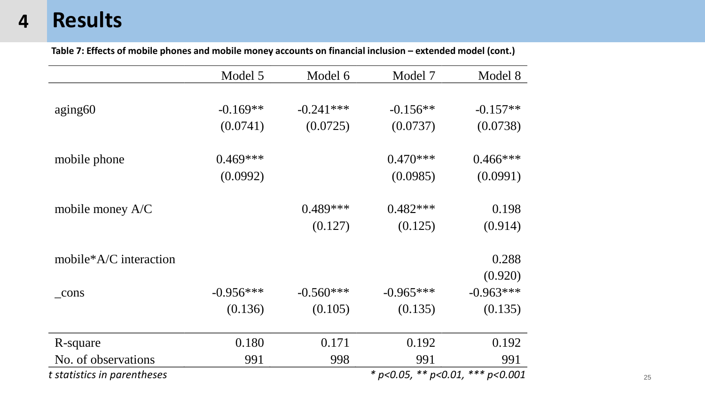**Table 7: Effects of mobile phones and mobile money accounts on financial inclusion – extended model (cont.)**

|                                                                 | Model 5     | Model 6     | Model 7     | Model 8     |  |  |
|-----------------------------------------------------------------|-------------|-------------|-------------|-------------|--|--|
|                                                                 |             |             |             |             |  |  |
| aging 60                                                        | $-0.169**$  | $-0.241***$ | $-0.156**$  | $-0.157**$  |  |  |
|                                                                 | (0.0741)    | (0.0725)    | (0.0737)    | (0.0738)    |  |  |
| mobile phone                                                    | $0.469***$  |             | $0.470***$  | $0.466***$  |  |  |
|                                                                 | (0.0992)    |             | (0.0985)    | (0.0991)    |  |  |
| mobile money $A/C$                                              |             | $0.489***$  | $0.482***$  | 0.198       |  |  |
|                                                                 |             | (0.127)     | (0.125)     | (0.914)     |  |  |
| mobile*A/C interaction                                          |             |             |             | 0.288       |  |  |
|                                                                 |             |             |             | (0.920)     |  |  |
| $_{\rm cons}$                                                   | $-0.956***$ | $-0.560***$ | $-0.965***$ | $-0.963***$ |  |  |
|                                                                 | (0.136)     | (0.105)     | (0.135)     | (0.135)     |  |  |
| R-square                                                        | 0.180       | 0.171       | 0.192       | 0.192       |  |  |
| No. of observations                                             | 991         | 998         | 991         | 991         |  |  |
| * p<0.05, ** p<0.01, *** p<0.001<br>t statistics in parentheses |             |             |             |             |  |  |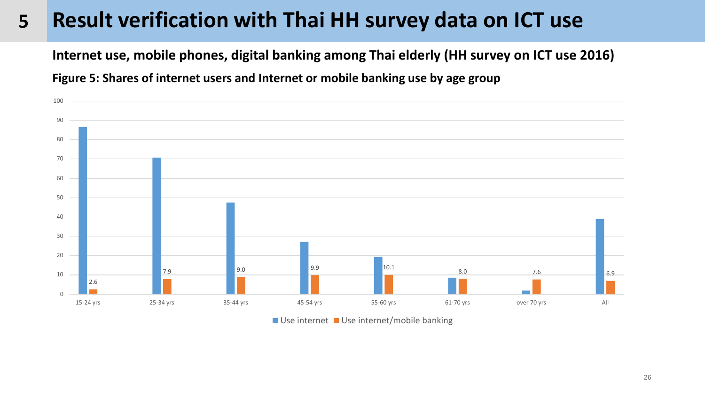#### **Result verification with Thai HH survey data on ICT use**

**Internet use, mobile phones, digital banking among Thai elderly (HH survey on ICT use 2016)**

**Figure 5: Shares of internet users and Internet or mobile banking use by age group**



 $\blacksquare$  Use internet  $\blacksquare$  Use internet/mobile banking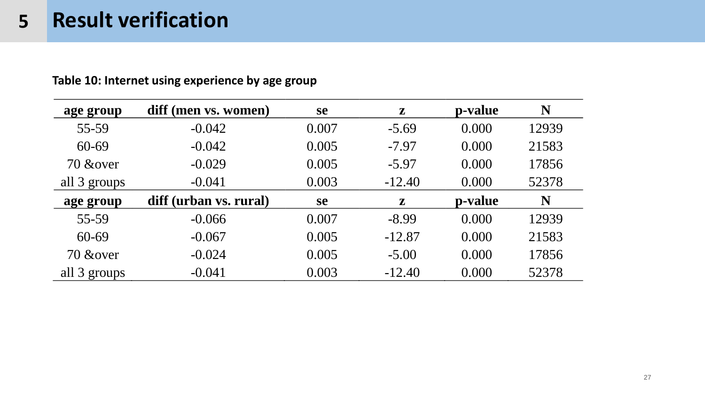| age group    | diff (men vs. women)   | <b>se</b> | $\mathbf{z}$ | p-value | N     |
|--------------|------------------------|-----------|--------------|---------|-------|
| 55-59        | $-0.042$               | 0.007     | $-5.69$      | 0.000   | 12939 |
| 60-69        | $-0.042$               | 0.005     | $-7.97$      | 0.000   | 21583 |
| 70 & over    | $-0.029$               | 0.005     | $-5.97$      | 0.000   | 17856 |
| all 3 groups | $-0.041$               | 0.003     | $-12.40$     | 0.000   | 52378 |
| age group    | diff (urban vs. rural) | <b>se</b> | ${\bf z}$    | p-value | N     |
| 55-59        | $-0.066$               | 0.007     | $-8.99$      | 0.000   | 12939 |
| 60-69        | $-0.067$               | 0.005     | $-12.87$     | 0.000   | 21583 |
| 70 & over    | $-0.024$               | 0.005     | $-5.00$      | 0.000   | 17856 |
| all 3 groups | $-0.041$               | 0.003     | $-12.40$     | 0.000   | 52378 |

### **Table 10: Internet using experience by age group**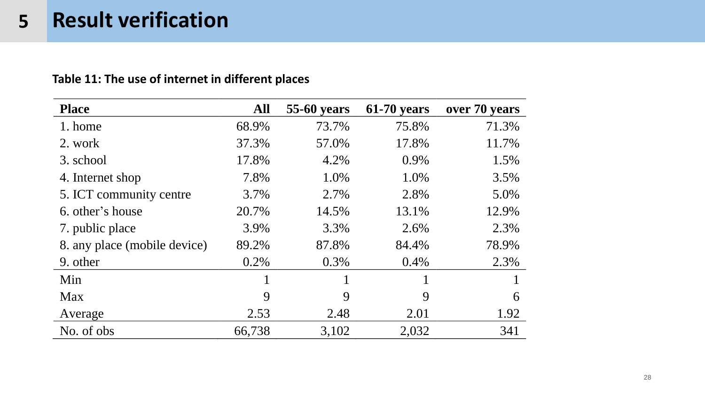### **Table 11: The use of internet in different places**

| <b>Place</b>                 | <b>All</b> | <b>55-60 years</b> | <b>61-70 years</b> | over 70 years |  |
|------------------------------|------------|--------------------|--------------------|---------------|--|
| 1. home                      | 68.9%      | 73.7%              | 75.8%              | 71.3%         |  |
| 2. work                      | 37.3%      | 57.0%              | 17.8%              | 11.7%         |  |
| 3. school                    | 17.8%      | 4.2%               | 0.9%               | 1.5%          |  |
| 4. Internet shop             | 7.8%       | 1.0%               | 1.0%               | 3.5%          |  |
| 5. ICT community centre      | 3.7%       | 2.7%               | 2.8%               | 5.0%          |  |
| 6. other's house             | 20.7%      | 14.5%              | 13.1%              | 12.9%         |  |
| 7. public place              | 3.9%       | 3.3%               | 2.6%               | 2.3%          |  |
| 8. any place (mobile device) | 89.2%      | 87.8%              | 84.4%              | 78.9%         |  |
| 9. other                     | $0.2\%$    | 0.3%               | $0.4\%$            | 2.3%          |  |
| Min                          |            |                    |                    |               |  |
| Max                          | 9          | 9                  | 9                  | 6             |  |
| Average                      | 2.53       | 2.48               | 2.01               | 1.92          |  |
| No. of obs                   | 66,738     | 3,102              | 2,032              | 341           |  |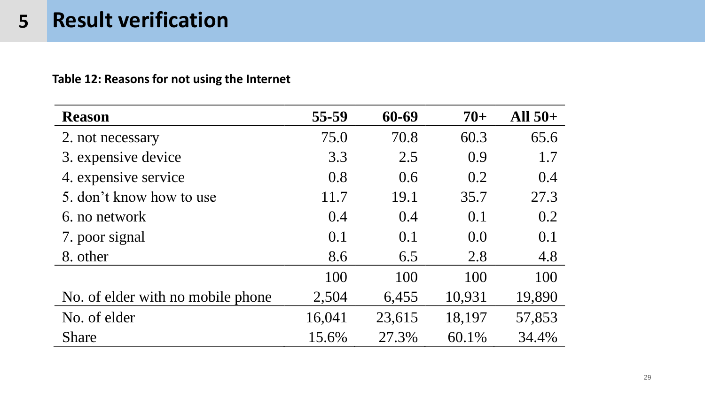### **Table 12: Reasons for not using the Internet**

| <b>Reason</b>                     | 55-59  | 60-69  | $70+$  | All $50+$ |
|-----------------------------------|--------|--------|--------|-----------|
| 2. not necessary                  | 75.0   | 70.8   | 60.3   | 65.6      |
| 3. expensive device               | 3.3    | 2.5    | 0.9    | 1.7       |
| 4. expensive service              | 0.8    | 0.6    | 0.2    | 0.4       |
| 5. don't know how to use          | 11.7   | 19.1   | 35.7   | 27.3      |
| 6. no network                     | 0.4    | 0.4    | 0.1    | 0.2       |
| 7. poor signal                    | 0.1    | 0.1    | 0.0    | 0.1       |
| 8. other                          | 8.6    | 6.5    | 2.8    | 4.8       |
|                                   | 100    | 100    | 100    | 100       |
| No. of elder with no mobile phone | 2,504  | 6,455  | 10,931 | 19,890    |
| No. of elder                      | 16,041 | 23,615 | 18,197 | 57,853    |
| <b>Share</b>                      | 15.6%  | 27.3%  | 60.1%  | 34.4%     |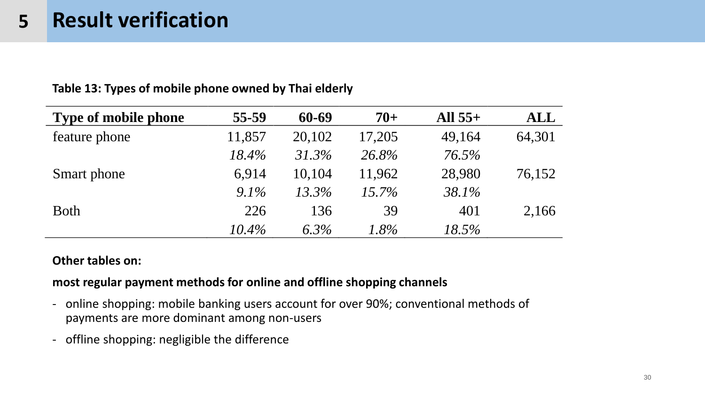| . .                         |          |          |          |           |            |
|-----------------------------|----------|----------|----------|-----------|------------|
| <b>Type of mobile phone</b> | 55-59    | 60-69    | $70+$    | All $55+$ | <b>ALL</b> |
| feature phone               | 11,857   | 20,102   | 17,205   | 49,164    | 64,301     |
|                             | 18.4%    | 31.3%    | 26.8%    | 76.5%     |            |
| Smart phone                 | 6,914    | 10,104   | 11,962   | 28,980    | 76,152     |
|                             | $9.1\%$  | $13.3\%$ | $15.7\%$ | 38.1%     |            |
| <b>Both</b>                 | 226      | 136      | 39       | 401       | 2,166      |
|                             | $10.4\%$ | $6.3\%$  | $1.8\%$  | 18.5%     |            |

**Table 13: Types of mobile phone owned by Thai elderly** 

#### **Other tables on:**

### **most regular payment methods for online and offline shopping channels**

- online shopping: mobile banking users account for over 90%; conventional methods of payments are more dominant among non-users
- offline shopping: negligible the difference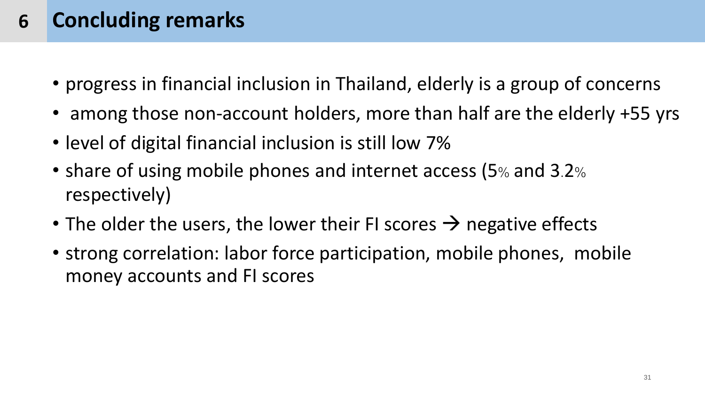#### **Concluding remarks 6**

- progress in financial inclusion in Thailand, elderly is a group of concerns
- among those non-account holders, more than half are the elderly +55 yrs
- level of digital financial inclusion is still low 7%
- share of using mobile phones and internet access (5% and 3.2% respectively)
- The older the users, the lower their FI scores  $\rightarrow$  negative effects
- strong correlation: labor force participation, mobile phones, mobile money accounts and FI scores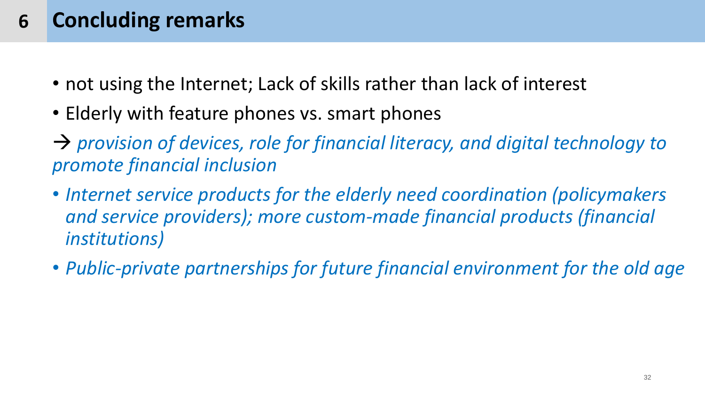#### **Concluding remarks 6**

- not using the Internet; Lack of skills rather than lack of interest
- Elderly with feature phones vs. smart phones
- → *provision of devices, role for financial literacy, and digital technology to promote financial inclusion*
- *Internet service products for the elderly need coordination (policymakers and service providers); more custom-made financial products (financial institutions)*
- *Public-private partnerships for future financial environment for the old age*